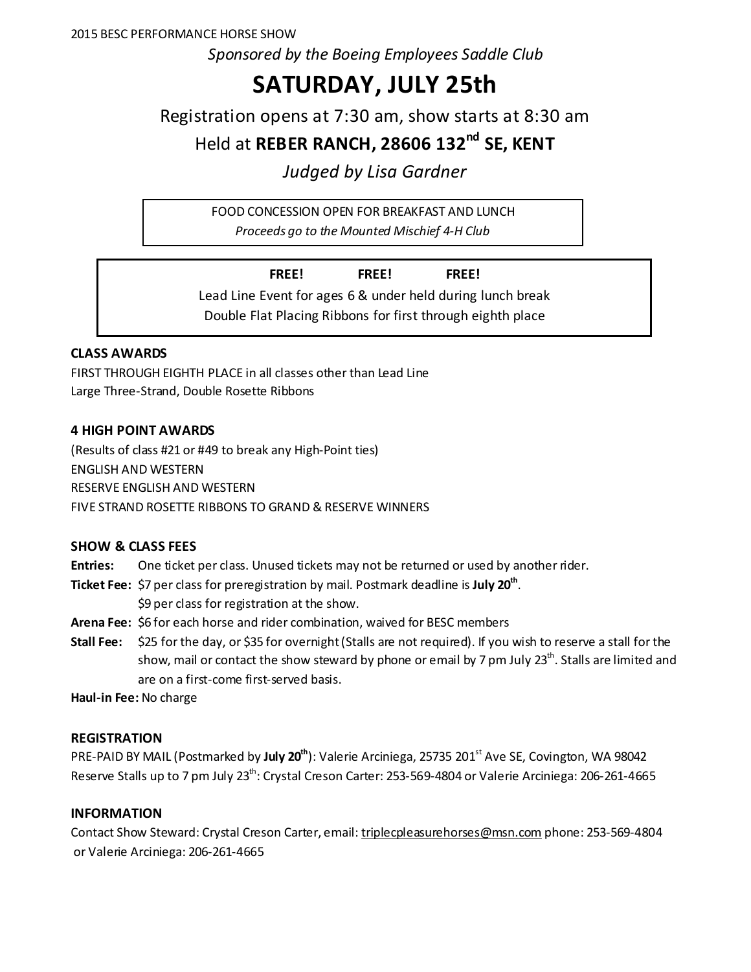*Sponsored by the Boeing Employees Saddle Club*

# **SATURDAY, JULY 25th**

Registration opens at 7:30 am, show starts at 8:30 am

Held at **REBER RANCH, 28606 132nd SE, KENT**

*Judged by Lisa Gardner*

FOOD CONCESSION OPEN FOR BREAKFAST AND LUNCH

*Proceeds go to the Mounted Mischief 4-H Club*

**FREE! FREE! FREE!** Lead Line Event for ages 6 & under held during lunch break Double Flat Placing Ribbons for first through eighth place

# **CLASS AWARDS**

FIRST THROUGH EIGHTH PLACE in all classes other than Lead Line Large Three-Strand, Double Rosette Ribbons

# **4 HIGH POINT AWARDS**

(Results of class #21 or #49 to break any High-Point ties) ENGLISH AND WESTERN RESERVE ENGLISH AND WESTERN FIVE STRAND ROSETTE RIBBONS TO GRAND & RESERVE WINNERS

## **SHOW & CLASS FEES**

**Entries:** One ticket per class. Unused tickets may not be returned or used by another rider.

**Ticket Fee:** \$7 per class for preregistration by mail. Postmark deadline is **July 20th**.

\$9 per class for registration at the show.

**Arena Fee:** \$6 for each horse and rider combination, waived for BESC members

**Stall Fee:** \$25 for the day, or \$35 for overnight (Stalls are not required). If you wish to reserve a stall for the show, mail or contact the show steward by phone or email by 7 pm July 23<sup>th</sup>. Stalls are limited and are on a first-come first-served basis.

**Haul-in Fee:** No charge

## **REGISTRATION**

PRE-PAID BY MAIL (Postmarked by **July 20<sup>th</sup>)**: Valerie Arciniega, 25735 201<sup>st</sup> Ave SE, Covington, WA 98042 Reserve Stalls up to 7 pm July 23<sup>th</sup>: Crystal Creson Carter: 253-569-4804 or Valerie Arciniega: 206-261-4665

# **INFORMATION**

Contact Show Steward: Crystal Creson Carter, email[: triplecpleasurehorses@msn.com](mailto:triplecpleasurehorses@msn.com%20phone:%20253-569-4804) phone: 253-569-4804 or Valerie Arciniega: 206-261-4665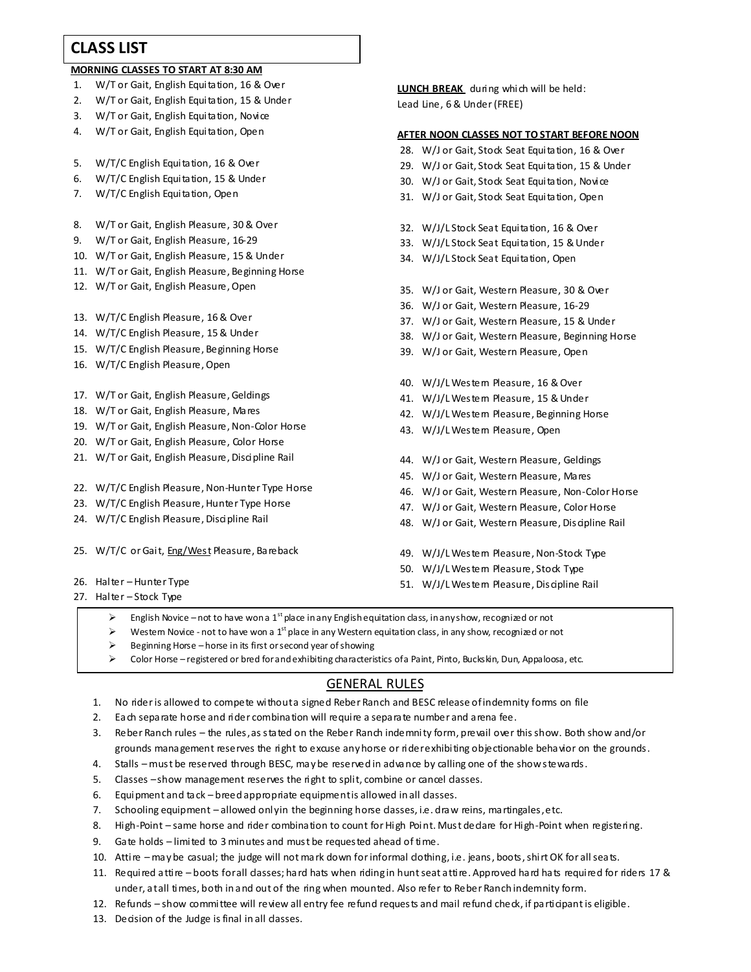# **CLASS LIST**

#### **MORNING CLASSES TO START AT 8:30 AM**

- 1. W/T or Gait, English Equitation, 16 & Over
- 2. W/T or Gait, English Equitation, 15 & Under
- 3. W/T or Gait, English Equitation, Novice
- 4. W/T or Gait, English Equitation, Open
- 5. W/T/C English Equitation, 16 & Over
- 6. W/T/C English Equitation, 15 & Under
- 7. W/T/C English Equitation, Open
- 8. W/T or Gait, English Pleasure, 30 & Over
- 9. W/T or Gait, English Pleasure, 16-29
- 10. W/T or Gait, English Pleasure, 15 & Under
- 11. W/T or Gait, English Pleasure, Beginning Horse
- 12. W/T or Gait, English Pleasure, Open
- 13. W/T/C English Pleasure, 16 & Over
- 14. W/T/C English Pleasure, 15 & Under
- 15. W/T/C English Pleasure, Beginning Horse
- 16. W/T/C English Pleasure, Open
- 17. W/T or Gait, English Pleasure, Geldings
- 18. W/T or Gait, English Pleasure, Mares
- 19. W/T or Gait, English Pleasure, Non-Color Horse
- 20. W/T or Gait, English Pleasure, Color Horse
- 21. W/T or Gait, English Pleasure, Discipline Rail
- 22. W/T/C English Pleasure, Non-Hunter Type Horse
- 23. W/T/C English Pleasure, Hunter Type Horse
- 24. W/T/C English Pleasure, Discipline Rail
- 25. W/T/C or Gait, Eng/West Pleasure, Bareback
- 26. Halter Hunter Type
- 27. Halter Stock Type

**LUNCH BREAK** during which will be held: Lead Line, 6 & Under (FREE)

#### **AFTER NOON CLASSES NOT TO START BEFORE NOON**

- 28. W/J or Gait, Stock Seat Equitation, 16 & Over
- 29. W/J or Gait, Stock Seat Equitation, 15 & Under
- 30. W/J or Gait, Stock Seat Equitation, Novice
- 31. W/J or Gait, Stock Seat Equitation, Open
- 32. W/J/L Stock Seat Equitation, 16 & Over
- 33. W/J/L Stock Seat Equitation, 15 & Under
- 34. W/J/L Stock Seat Equitation, Open
- 35. W/J or Gait, Western Pleasure, 30 & Over
- 36. W/J or Gait, Western Pleasure, 16-29
- 37. W/J or Gait, Western Pleasure, 15 & Under
- 38. W/J or Gait, Western Pleasure, Beginning Horse
- 39. W/J or Gait, Western Pleasure, Open
- 40. W/J/L Westem Pleasure, 16 & Over
- 41. W/J/L Westem Pleasure, 15 & Under
- 42. W/J/L Westem Pleasure, Beginning Horse
- 43. W/J/L Westem Pleasure, Open
- 44. W/J or Gait, Western Pleasure, Geldings
- 45. W/J or Gait, Western Pleasure, Mares
- 46. W/J or Gait, Western Pleasure, Non-Color Horse
- 47. W/J or Gait, Western Pleasure, Color Horse
- 48. W/J or Gait, Western Pleasure, Discipline Rail
- 49. W/J/L Westem Pleasure, Non-Stock Type
- 50. W/J/L Westem Pleasure, Stock Type
- 51. W/J/L Westem Pleasure, Discipline Rail
- $\triangleright$  English Novice not to have won a 1<sup>st</sup> place in any English equitation class, in any show, recognized or not
- Western Novice not to have won a 1<sup>st</sup> place in any Western equitation class, in any show, recognized or not
- $\triangleright$  Beginning Horse horse in its first or second year of showing
- $\triangleright$  Color Horse registered or bred for and exhibiting characteristics of a Paint, Pinto, Buckskin, Dun, Appaloosa, etc.

#### GENERAL RULES

- 1. No rider is allowed to compete without a signed Reber Ranch and BESC release of indemnity forms on file
- 2. Each separate horse and rider combination will require a separate number and arena fee.
- 3. Reber Ranch rules the rules, as stated on the Reber Ranch indemnity form, prevail over this show. Both show and/or grounds management reserves the right to excuse any horse or rider exhibiting objectionable behavior on the grounds.
- 4. Stalls must be reserved through BESC, may be reserved in advance by calling one of the show stewards.
- 5. Classes –show management reserves the right to split, combine or cancel dasses.
- 6. Equipment and tack breed appropriate equipment is allowed in all dasses.
- 7. Schooling equipment allowed onlyin the beginning horse dasses, i.e. draw reins, martingales, etc.
- 8. High-Point same horse and rider combination to count for High Point. Must dedare for High-Point when registering.
- 9. Gate holds limited to 3 minutes and must be requested ahead of time.
- 10. Attire may be casual; the judge will not mark down for informal clothing, i.e. jeans, boots, shirt OK for all seats.
- 11. Required attire boots for all classes; hard hats when riding in hunt seat attire. Approved hard hats required for riders 17 & under, at all times, both in and out of the ring when mounted. Also refer to Reber Ranch indemnity form.
- 12. Refunds show committee will review all entry fee refund requests and mail refund check, if participant is eligible.
- 13. Decision of the Judge is final in all dasses.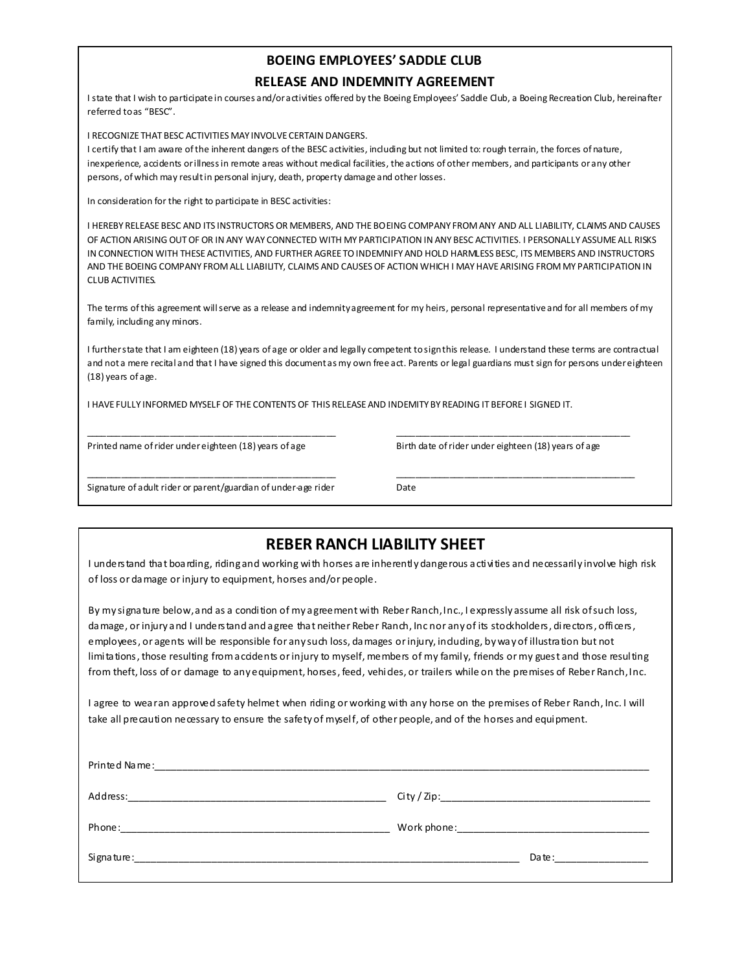# **BOEING EMPLOYEES' SADDLE CLUB**

#### **RELEASE AND INDEMNITY AGREEMENT**

I state that I wish to participate in courses and/or activities offered by the Boeing Employees' Saddle Club, a Boeing Recreation Club, hereinafter referred to as "BESC".

I RECOGNIZE THAT BESC ACTIVITIES MAY INVOLVE CERTAIN DANGERS.

I certify that I am aware of the inherent dangers of the BESC activities, including but not limited to: rough terrain, the forces of nature, inexperience, accidents or illness in remote areas without medical facilities, the actions of other members, and participants or any other persons, of which may result in personal injury, death, property damage and other losses.

In consideration for the right to participate in BESC activities:

I HEREBY RELEASE BESC AND ITS INSTRUCTORS OR MEMBERS, AND THE BOEING COMPANY FROM ANY AND ALL LIABILITY, CLAIMS AND CAUSES OF ACTION ARISING OUT OF OR IN ANY WAY CONNECTED WITH MY PARTICIPATION IN ANY BESC ACTIVITIES. I PERSONALLY ASSUME ALL RISKS IN CONNECTION WITH THESE ACTIVITIES, AND FURTHER AGREE TO INDEMNIFY AND HOLD HARMLESS BESC, ITS MEMBERS AND INSTRUCTORS AND THE BOEING COMPANY FROM ALL LIABILITY, CLAIMS AND CAUSES OF ACTION WHICH I MAY HAVE ARISING FROM MY PARTICIPATION IN CLUB ACTIVITIES.

The terms of this agreement will serve as a release and indemnity agreement for my heirs, personal representative and for all members of my family, including any minors.

I further state that I am eighteen (18) years of age or older and legally competent to sign this release. I understand these terms are contractual and not a mere recital and that I have signed this document as my own free act. Parents or legal guardians must sign for persons under eighteen (18) years of age.

\_\_\_\_\_\_\_\_\_\_\_\_\_\_\_\_\_\_\_\_\_\_\_\_\_\_\_\_\_\_\_\_\_\_\_\_\_\_\_\_\_\_\_\_\_\_\_\_\_\_\_ \_\_\_\_\_\_\_\_\_\_\_\_\_\_\_\_\_\_\_\_\_\_\_\_\_\_\_\_\_\_\_\_\_\_\_\_\_\_\_\_\_\_\_\_\_\_\_\_

\_\_\_\_\_\_\_\_\_\_\_\_\_\_\_\_\_\_\_\_\_\_\_\_\_\_\_\_\_\_\_\_\_\_\_\_\_\_\_\_\_\_\_\_\_\_\_\_\_\_\_ \_\_\_\_\_\_\_\_\_\_\_\_\_\_\_\_\_\_\_\_\_\_\_\_\_\_\_\_\_\_\_\_\_\_\_\_\_\_\_\_\_\_\_\_\_\_\_\_\_

I HAVE FULLY INFORMED MYSELF OF THE CONTENTS OF THIS RELEASE AND INDEMITY BY READING IT BEFORE I SIGNED IT.

Printed name of rider under eighteen (18) years of age Birth date of rider under eighteen (18) years of age

Signature of adult rider or parent/guardian of under-age rider Date

| <b>REBER RANCH LIABILITY SHEET</b><br>I understand that boarding, riding and working with horses are inherently dangerous activities and necessarily involve high risk<br>of loss or damage or injury to equipment, horses and/or people.                                                                                                                                                                                                                                                                                                                                                                                                                 |                                                                                                                                                                                                                                |  |  |  |  |
|-----------------------------------------------------------------------------------------------------------------------------------------------------------------------------------------------------------------------------------------------------------------------------------------------------------------------------------------------------------------------------------------------------------------------------------------------------------------------------------------------------------------------------------------------------------------------------------------------------------------------------------------------------------|--------------------------------------------------------------------------------------------------------------------------------------------------------------------------------------------------------------------------------|--|--|--|--|
| By my signature below, and as a condition of my agreement with Reber Ranch, Inc., I expressly assume all risk of such loss,<br>damage, or injury and I understand and agree that neither Reber Ranch, Inc nor any of its stockholders, directors, officers,<br>employees, or agents will be responsible for any such loss, damages or injury, induding, by way of illustration but not<br>limitations, those resulting from accidents or injury to myself, members of my family, friends or my guest and those resulting<br>from theft, loss of or damage to any equipment, horses, feed, vehides, or trailers while on the premises of Reber Ranch, Inc. |                                                                                                                                                                                                                                |  |  |  |  |
| I agree to wearan approved safety helmet when riding or working with any horse on the premises of Reber Ranch, Inc. I will<br>take all precaution necessary to ensure the safety of myself, of other people, and of the horses and equipment.                                                                                                                                                                                                                                                                                                                                                                                                             |                                                                                                                                                                                                                                |  |  |  |  |
|                                                                                                                                                                                                                                                                                                                                                                                                                                                                                                                                                                                                                                                           |                                                                                                                                                                                                                                |  |  |  |  |
|                                                                                                                                                                                                                                                                                                                                                                                                                                                                                                                                                                                                                                                           |                                                                                                                                                                                                                                |  |  |  |  |
|                                                                                                                                                                                                                                                                                                                                                                                                                                                                                                                                                                                                                                                           |                                                                                                                                                                                                                                |  |  |  |  |
|                                                                                                                                                                                                                                                                                                                                                                                                                                                                                                                                                                                                                                                           | Date: the contract of the contract of the contract of the contract of the contract of the contract of the contract of the contract of the contract of the contract of the contract of the contract of the contract of the cont |  |  |  |  |
|                                                                                                                                                                                                                                                                                                                                                                                                                                                                                                                                                                                                                                                           |                                                                                                                                                                                                                                |  |  |  |  |